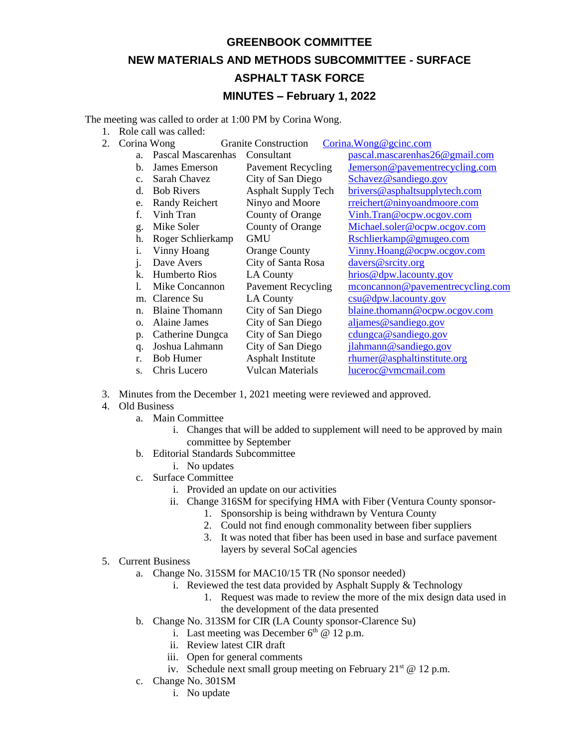## **GREENBOOK COMMITTEE**

## **NEW MATERIALS AND METHODS SUBCOMMITTEE - SURFACE**

## **ASPHALT TASK FORCE**

## **MINUTES – February 1, 2022**

The meeting was called to order at 1:00 PM by Corina Wong.

1. Role call was called:

| 2. | Corina Wong    |                       | <b>Granite Construction</b> | Corina. Wong@gcinc.com           |
|----|----------------|-----------------------|-----------------------------|----------------------------------|
|    | a <sub>z</sub> | Pascal Mascarenhas    | Consultant                  | pascal.mascarenhas26@gmail.com   |
|    | b.             | James Emerson         | <b>Pavement Recycling</b>   | Jemerson@pavementrecycling.com   |
|    | C <sub>1</sub> | Sarah Chavez          | City of San Diego           | Schavez@sandiego.gov             |
|    | d.             | <b>Bob Rivers</b>     | <b>Asphalt Supply Tech</b>  | brivers@asphaltsupplytech.com    |
|    | e.             | <b>Randy Reichert</b> | Ninyo and Moore             | rreichert@ninyoandmoore.com      |
|    | f.             | Vinh Tran             | County of Orange            | Vinh.Tran@ocpw.ocgov.com         |
|    | g.             | Mike Soler            | County of Orange            | Michael.soler@ocpw.ocgov.com     |
|    | h.             | Roger Schlierkamp     | <b>GMU</b>                  | Rschlierkamp@gmugeo.com          |
|    | 1.             | Vinny Hoang           | <b>Orange County</b>        | Vinny.Hoang@ocpw.ocgov.com       |
|    | 1.             | Dave Avers            | City of Santa Rosa          | davers@srcity.org                |
|    | k.             | Humberto Rios         | LA County                   | hrios@dpw.lacounty.gov           |
|    | 1.             | Mike Concannon        | <b>Pavement Recycling</b>   | mconcannon@pavementrecycling.com |
|    | m.             | Clarence Su           | LA County                   | csu@dpw.lacounty.gov             |
|    | n.             | <b>Blaine Thomann</b> | City of San Diego           | blaine.thomann@ocpw.ocgov.com    |
|    | Ο.             | Alaine James          | City of San Diego           | aljames@sandiego.gov             |
|    | p.             | Catherine Dungca      | City of San Diego           | cdungca@sandiego.gov             |
|    | q.             | Joshua Lahmann        | City of San Diego           | jlahmann@sandiego.gov            |
|    | r.             | <b>Bob Humer</b>      | <b>Asphalt Institute</b>    | rhumer@asphaltinstitute.org      |
|    | S.             | Chris Lucero          | Vulcan Materials            | luceroc@vmcmail.com              |

- 3. Minutes from the December 1, 2021 meeting were reviewed and approved.
- 4. Old Business
	- a. Main Committee
		- i. Changes that will be added to supplement will need to be approved by main committee by September
	- b. Editorial Standards Subcommittee
		- i. No updates
	- c. Surface Committee
		- i. Provided an update on our activities
		- ii. Change 316SM for specifying HMA with Fiber (Ventura County sponsor-
			- 1. Sponsorship is being withdrawn by Ventura County
			- 2. Could not find enough commonality between fiber suppliers
			- 3. It was noted that fiber has been used in base and surface pavement layers by several SoCal agencies
- 5. Current Business
	- a. Change No. 315SM for MAC10/15 TR (No sponsor needed)
		- i. Reviewed the test data provided by Asphalt Supply & Technology
			- 1. Request was made to review the more of the mix design data used in the development of the data presented
	- b. Change No. 313SM for CIR (LA County sponsor-Clarence Su)
		- i. Last meeting was December  $6<sup>th</sup>$  @ 12 p.m.
			- ii. Review latest CIR draft
		- iii. Open for general comments
		- iv. Schedule next small group meeting on February  $21^{st} @ 12$  p.m.
	- c. Change No. 301SM
		- i. No update